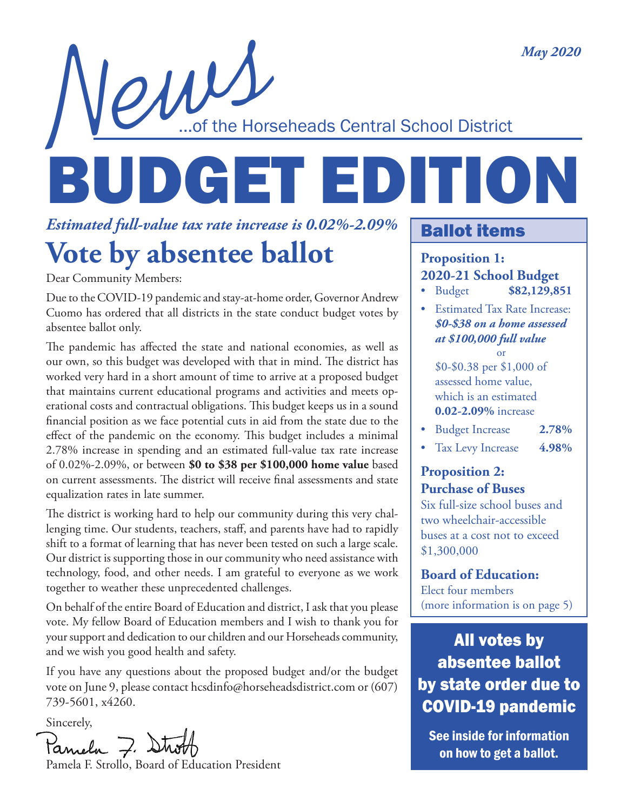...of the Horseheads Central School District MUSE News York Nay 2020 BUDGET EDITION

### *Estimated full-value tax rate increase is 0.02%-2.09%* **Vote by absentee ballot**

Dear Community Members:

Due to the COVID-19 pandemic and stay-at-home order, Governor Andrew Cuomo has ordered that all districts in the state conduct budget votes by absentee ballot only.

The pandemic has affected the state and national economies, as well as our own, so this budget was developed with that in mind. The district has worked very hard in a short amount of time to arrive at a proposed budget that maintains current educational programs and activities and meets operational costs and contractual obligations. This budget keeps us in a sound financial position as we face potential cuts in aid from the state due to the effect of the pandemic on the economy. This budget includes a minimal 2.78% increase in spending and an estimated full-value tax rate increase of 0.02%-2.09%, or between **\$0 to \$38 per \$100,000 home value** based on current assessments. The district will receive final assessments and state equalization rates in late summer.

The district is working hard to help our community during this very challenging time. Our students, teachers, staff, and parents have had to rapidly shift to a format of learning that has never been tested on such a large scale. Our district is supporting those in our community who need assistance with technology, food, and other needs. I am grateful to everyone as we work together to weather these unprecedented challenges.

On behalf of the entire Board of Education and district, I ask that you please vote. My fellow Board of Education members and I wish to thank you for your support and dedication to our children and our Horseheads community, and we wish you good health and safety.

If you have any questions about the proposed budget and/or the budget vote on June 9, please contact hcsdinfo@horseheadsdistrict.com or (607) 739-5601, x4260.

Sincerely,

Parnela 7. Strott

Pamela F. Strollo, Board of Education President

### Ballot items

#### **Proposition 1: 2020-21 School Budget**

- Budget **\$82,129,851**
- Estimated Tax Rate Increase: *\$0-\$38 on a home assessed at \$100,000 full value* or

\$0-\$0.38 per \$1,000 of assessed home value, which is an estimated **0.02-2.09%** increase

- Budget Increase **2.78%**
- Tax Levy Increase **4.98%**

#### **Proposition 2: Purchase of Buses**

Six full-size school buses and two wheelchair-accessible buses at a cost not to exceed \$1,300,000

**Board of Education:** Elect four members (more information is on page 5)

### All votes by absentee ballot by state order due to COVID-19 pandemic

See inside for information on how to get a ballot.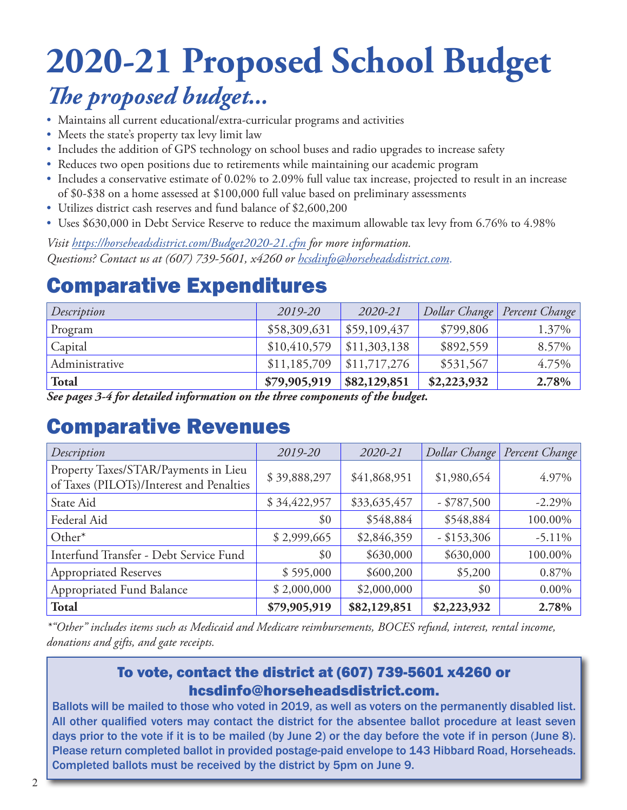## **2020-21 Proposed School Budget** *The proposed budget...*

- Maintains all current educational/extra-curricular programs and activities
- Meets the state's property tax levy limit law
- Includes the addition of GPS technology on school buses and radio upgrades to increase safety
- Reduces two open positions due to retirements while maintaining our academic program
- Includes a conservative estimate of 0.02% to 2.09% full value tax increase, projected to result in an increase of \$0-\$38 on a home assessed at \$100,000 full value based on preliminary assessments
- Utilizes district cash reserves and fund balance of \$2,600,200
- Uses \$630,000 in Debt Service Reserve to reduce the maximum allowable tax levy from 6.76% to 4.98%

*Visit https://horseheadsdistrict.com/Budget2020-21.cfm for more information. Questions? Contact us at (607) 739-5601, x4260 or hcsdinfo@horseheadsdistrict.com.* 

### Comparative Expenditures

| Description    | 2019-20      | 2020-21      |             | Dollar Change Percent Change |
|----------------|--------------|--------------|-------------|------------------------------|
| Program        | \$58,309,631 | \$59,109,437 | \$799,806   | 1.37%                        |
| Capital        | \$10,410,579 | \$11,303,138 | \$892,559   | 8.57%                        |
| Administrative | \$11,185,709 | \$11,717,276 | \$531,567   | 4.75%                        |
| <b>Total</b>   | \$79,905,919 | \$82,129,851 | \$2,223,932 | 2.78%                        |

*See pages 3-4 for detailed information on the three components of the budget.* 

### Comparative Revenues

| Description                                                                      | 2019-20      | 2020-21      |               | Dollar Change Percent Change |
|----------------------------------------------------------------------------------|--------------|--------------|---------------|------------------------------|
| Property Taxes/STAR/Payments in Lieu<br>of Taxes (PILOTs)/Interest and Penalties | \$39,888,297 | \$41,868,951 | \$1,980,654   | 4.97%                        |
| State Aid                                                                        | \$34,422,957 | \$33,635,457 | $-$ \$787,500 | $-2.29\%$                    |
| Federal Aid                                                                      | \$0          | \$548,884    | \$548,884     | 100.00%                      |
| Other*                                                                           | \$2,999,665  | \$2,846,359  | $-$ \$153,306 | $-5.11\%$                    |
| Interfund Transfer - Debt Service Fund                                           | \$0          | \$630,000    | \$630,000     | 100.00%                      |
| <b>Appropriated Reserves</b>                                                     | \$595,000    | \$600,200    | \$5,200       | 0.87%                        |
| Appropriated Fund Balance                                                        | \$2,000,000  | \$2,000,000  | \$0           | $0.00\%$                     |
| <b>Total</b>                                                                     | \$79,905,919 | \$82,129,851 | \$2,223,932   | 2.78%                        |

*\*"Other" includes items such as Medicaid and Medicare reimbursements, BOCES refund, interest, rental income, donations and gifts, and gate receipts.* 

#### To vote, contact the district at (607) 739-5601 x4260 or hcsdinfo@horseheadsdistrict.com.

Ballots will be mailed to those who voted in 2019, as well as voters on the permanently disabled list. All other qualified voters may contact the district for the absentee ballot procedure at least seven days prior to the vote if it is to be mailed (by June 2) or the day before the vote if in person (June 8). Please return completed ballot in provided postage-paid envelope to 143 Hibbard Road, Horseheads. Completed ballots must be received by the district by 5pm on June 9.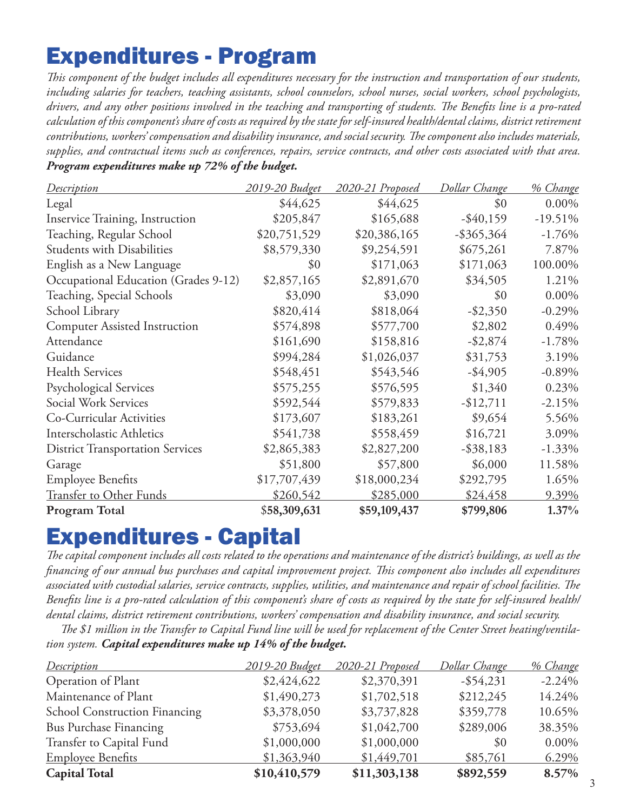### Expenditures - Program

*This component of the budget includes all expenditures necessary for the instruction and transportation of our students, including salaries for teachers, teaching assistants, school counselors, school nurses, social workers, school psychologists, drivers, and any other positions involved in the teaching and transporting of students. The Benefits line is a pro-rated calculation of this component's share of costs as required by the state for self-insured health/dental claims, district retirement contributions, workers' compensation and disability insurance, and social security. The component also includes materials, supplies, and contractual items such as conferences, repairs, service contracts, and other costs associated with that area. Program expenditures make up 72% of the budget.*

| <b>Description</b>                      | 2019-20 Budget | 2020-21 Proposed | Dollar Change | % Change  |
|-----------------------------------------|----------------|------------------|---------------|-----------|
| Legal                                   | \$44,625       | \$44,625         | \$0           | $0.00\%$  |
| <b>Inservice Training, Instruction</b>  | \$205,847      | \$165,688        | $-$ \$40,159  | $-19.51%$ |
| Teaching, Regular School                | \$20,751,529   | \$20,386,165     | $-$ \$365,364 | $-1.76%$  |
| <b>Students with Disabilities</b>       | \$8,579,330    | \$9,254,591      | \$675,261     | 7.87%     |
| English as a New Language               | \$0            | \$171,063        | \$171,063     | 100.00%   |
| Occupational Education (Grades 9-12)    | \$2,857,165    | \$2,891,670      | \$34,505      | 1.21%     |
| Teaching, Special Schools               | \$3,090        | \$3,090          | \$0           | $0.00\%$  |
| School Library                          | \$820,414      | \$818,064        | $-$ \$2,350   | $-0.29%$  |
| <b>Computer Assisted Instruction</b>    | \$574,898      | \$577,700        | \$2,802       | 0.49%     |
| Attendance                              | \$161,690      | \$158,816        | $- $2,874$    | $-1.78%$  |
| Guidance                                | \$994,284      | \$1,026,037      | \$31,753      | 3.19%     |
| <b>Health Services</b>                  | \$548,451      | \$543,546        | $-$ \$4,905   | $-0.89\%$ |
| Psychological Services                  | \$575,255      | \$576,595        | \$1,340       | 0.23%     |
| Social Work Services                    | \$592,544      | \$579,833        | $-$12,711$    | $-2.15%$  |
| Co-Curricular Activities                | \$173,607      | \$183,261        | \$9,654       | 5.56%     |
| Interscholastic Athletics               | \$541,738      | \$558,459        | \$16,721      | 3.09%     |
| <b>District Transportation Services</b> | \$2,865,383    | \$2,827,200      | $-$ \$38,183  | $-1.33\%$ |
| Garage                                  | \$51,800       | \$57,800         | \$6,000       | 11.58%    |
| <b>Employee Benefits</b>                | \$17,707,439   | \$18,000,234     | \$292,795     | 1.65%     |
| <b>Transfer to Other Funds</b>          | \$260,542      | \$285,000        | \$24,458      | 9.39%     |
| <b>Program Total</b>                    | \$58,309,631   | \$59,109,437     | \$799,806     | 1.37%     |

### Expenditures - Capital

*The capital component includes all costs related to the operations and maintenance of the district's buildings, as well as the financing of our annual bus purchases and capital improvement project. This component also includes all expenditures associated with custodial salaries, service contracts, supplies, utilities, and maintenance and repair of school facilities. The Benefits line is a pro-rated calculation of this component's share of costs as required by the state for self-insured health/ dental claims, district retirement contributions, workers' compensation and disability insurance, and social security.* 

 *The \$1 million in the Transfer to Capital Fund line will be used for replacement of the Center Street heating/ventilation system. Capital expenditures make up 14% of the budget.*

| <b>Description</b>            | 2019-20 Budget | 2020-21 Proposed | Dollar Change | % Change |
|-------------------------------|----------------|------------------|---------------|----------|
| Operation of Plant            | \$2,424,622    | \$2,370,391      | $-$ \$54,231  | $-2.24%$ |
| Maintenance of Plant          | \$1,490,273    | \$1,702,518      | \$212,245     | 14.24%   |
| School Construction Financing | \$3,378,050    | \$3,737,828      | \$359,778     | 10.65%   |
| <b>Bus Purchase Financing</b> | \$753,694      | \$1,042,700      | \$289,006     | 38.35%   |
| Transfer to Capital Fund      | \$1,000,000    | \$1,000,000      | \$0           | $0.00\%$ |
| <b>Employee Benefits</b>      | \$1,363,940    | \$1,449,701      | \$85,761      | $6.29\%$ |
| <b>Capital Total</b>          | \$10,410,579   | \$11,303,138     | \$892,559     | 8.57%    |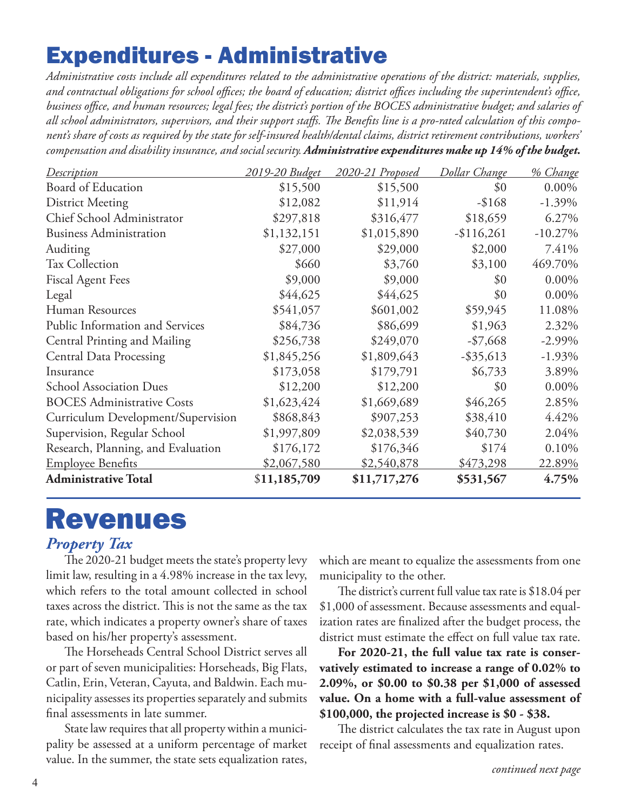### Expenditures - Administrative

*Administrative costs include all expenditures related to the administrative operations of the district: materials, supplies, and contractual obligations for school offices; the board of education; district offices including the superintendent's office, business office, and human resources; legal fees; the district's portion of the BOCES administrative budget; and salaries of all school administrators, supervisors, and their support staffs. The Benefits line is a pro-rated calculation of this component's share of costs as required by the state for self-insured health/dental claims, district retirement contributions, workers' compensation and disability insurance, and social security. Administrative expenditures make up 14% of the budget.* 

| <b>Description</b>                 | <u>2019-20 Budget</u> | 2020-21 Proposed | Dollar Change | % Change  |
|------------------------------------|-----------------------|------------------|---------------|-----------|
| Board of Education                 | \$15,500              | \$15,500         | \$0           | $0.00\%$  |
| <b>District Meeting</b>            | \$12,082              | \$11,914         | $-$168$       | $-1.39\%$ |
| Chief School Administrator         | \$297,818             | \$316,477        | \$18,659      | 6.27%     |
| <b>Business Administration</b>     | \$1,132,151           | \$1,015,890      | $-$116,261$   | $-10.27%$ |
| Auditing                           | \$27,000              | \$29,000         | \$2,000       | 7.41%     |
| <b>Tax Collection</b>              | \$660                 | \$3,760          | \$3,100       | 469.70%   |
| <b>Fiscal Agent Fees</b>           | \$9,000               | \$9,000          | \$0           | $0.00\%$  |
| Legal                              | \$44,625              | \$44,625         | \$0           | $0.00\%$  |
| Human Resources                    | \$541,057             | \$601,002        | \$59,945      | 11.08%    |
| Public Information and Services    | \$84,736              | \$86,699         | \$1,963       | 2.32%     |
| Central Printing and Mailing       | \$256,738             | \$249,070        | $- $7,668$    | $-2.99\%$ |
| <b>Central Data Processing</b>     | \$1,845,256           | \$1,809,643      | $-$ \$35,613  | $-1.93%$  |
| Insurance                          | \$173,058             | \$179,791        | \$6,733       | 3.89%     |
| <b>School Association Dues</b>     | \$12,200              | \$12,200         | \$0           | $0.00\%$  |
| <b>BOCES</b> Administrative Costs  | \$1,623,424           | \$1,669,689      | \$46,265      | 2.85%     |
| Curriculum Development/Supervision | \$868,843             | \$907,253        | \$38,410      | 4.42%     |
| Supervision, Regular School        | \$1,997,809           | \$2,038,539      | \$40,730      | 2.04%     |
| Research, Planning, and Evaluation | \$176,172             | \$176,346        | \$174         | 0.10%     |
| <b>Employee Benefits</b>           | \$2,067,580           | \$2,540,878      | \$473,298     | 22.89%    |
| <b>Administrative Total</b>        | \$11,185,709          | \$11,717,276     | \$531,567     | 4.75%     |

## Revenues

#### *Property Tax*

The 2020-21 budget meets the state's property levy limit law, resulting in a 4.98% increase in the tax levy, which refers to the total amount collected in school taxes across the district. This is not the same as the tax rate, which indicates a property owner's share of taxes based on his/her property's assessment.

The Horseheads Central School District serves all or part of seven municipalities: Horseheads, Big Flats, Catlin, Erin, Veteran, Cayuta, and Baldwin. Each municipality assesses its properties separately and submits final assessments in late summer.

State law requires that all property within a municipality be assessed at a uniform percentage of market value. In the summer, the state sets equalization rates,

which are meant to equalize the assessments from one municipality to the other.

The district's current full value tax rate is \$18.04 per \$1,000 of assessment. Because assessments and equalization rates are finalized after the budget process, the district must estimate the effect on full value tax rate.

**For 2020-21, the full value tax rate is conservatively estimated to increase a range of 0.02% to 2.09%, or \$0.00 to \$0.38 per \$1,000 of assessed value. On a home with a full-value assessment of \$100,000, the projected increase is \$0 - \$38.** 

The district calculates the tax rate in August upon receipt of final assessments and equalization rates.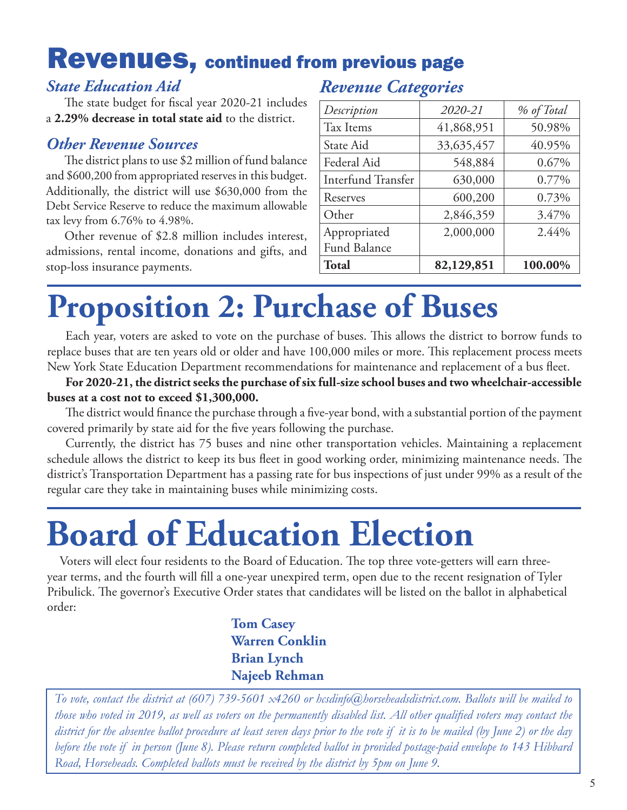### **Revenues, continued from previous page**

#### *State Education Aid*

The state budget for fiscal year 2020-21 includes a **2.29% decrease in total state aid** to the district.

#### *Other Revenue Sources*

The district plans to use \$2 million of fund balance and \$600,200 from appropriated reserves in this budget. Additionally, the district will use \$630,000 from the Debt Service Reserve to reduce the maximum allowable tax levy from 6.76% to 4.98%.

Other revenue of \$2.8 million includes interest, admissions, rental income, donations and gifts, and stop-loss insurance payments.

### *Revenue Categories*

| Total                     | 82,129,851   | 100.00%    |
|---------------------------|--------------|------------|
| Fund Balance              |              |            |
| Appropriated              | 2,000,000    | 2.44%      |
| Other                     | 2,846,359    | 3.47%      |
| Reserves                  | 600,200      | 0.73%      |
| <b>Interfund Transfer</b> | 630,000      | 0.77%      |
| Federal Aid               | 548,884      | 0.67%      |
| State Aid                 | 33, 635, 457 | 40.95%     |
| Tax Items                 | 41,868,951   | 50.98%     |
| Description               | 2020-21      | % of Total |

## **Proposition 2: Purchase of Buses**

Each year, voters are asked to vote on the purchase of buses. This allows the district to borrow funds to replace buses that are ten years old or older and have 100,000 miles or more. This replacement process meets New York State Education Department recommendations for maintenance and replacement of a bus fleet.

**For 2020-21, the district seeks the purchase of six full-size school buses and two wheelchair-accessible buses at a cost not to exceed \$1,300,000.**

The district would finance the purchase through a five-year bond, with a substantial portion of the payment covered primarily by state aid for the five years following the purchase.

Currently, the district has 75 buses and nine other transportation vehicles. Maintaining a replacement schedule allows the district to keep its bus fleet in good working order, minimizing maintenance needs. The district's Transportation Department has a passing rate for bus inspections of just under 99% as a result of the regular care they take in maintaining buses while minimizing costs.

# **Board of Education Election**

 Voters will elect four residents to the Board of Education. The top three vote-getters will earn threeyear terms, and the fourth will fill a one-year unexpired term, open due to the recent resignation of Tyler Pribulick. The governor's Executive Order states that candidates will be listed on the ballot in alphabetical order:

> **Tom Casey Warren Conklin Brian Lynch Najeeb Rehman**

*To vote, contact the district at (607) 739-5601 x4260 or hcsdinfo@horseheadsdistrict.com. Ballots will be mailed to those who voted in 2019, as well as voters on the permanently disabled list. All other qualified voters may contact the district for the absentee ballot procedure at least seven days prior to the vote if it is to be mailed (by June 2) or the day before the vote if in person (June 8). Please return completed ballot in provided postage-paid envelope to 143 Hibbard Road, Horseheads. Completed ballots must be received by the district by 5pm on June 9.*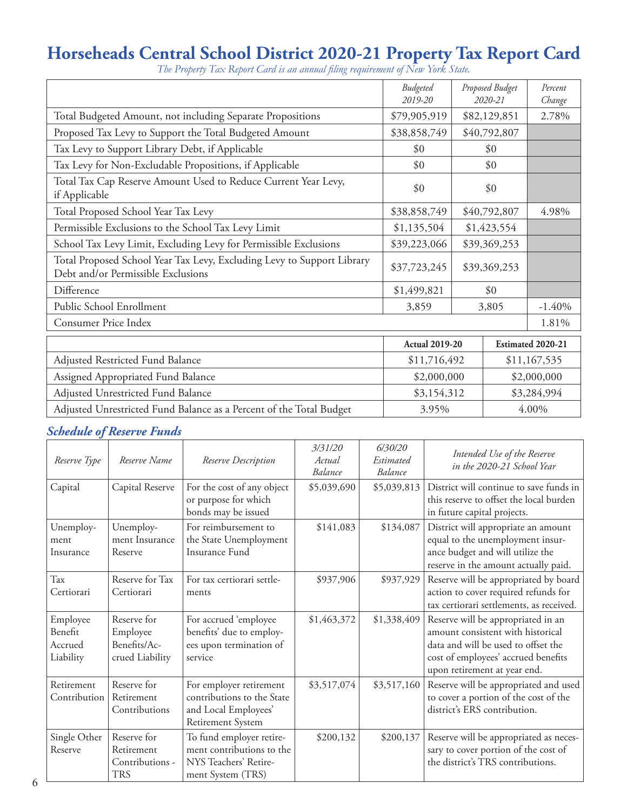### **Horseheads Central School District 2020-21 Property Tax Report Card**

|                                                                                                              | <b>Budgeted</b><br>2019-20   |  | Proposed Budget<br>$2020 - 21$ | Percent<br>Change |
|--------------------------------------------------------------------------------------------------------------|------------------------------|--|--------------------------------|-------------------|
| Total Budgeted Amount, not including Separate Propositions                                                   | \$79,905,919                 |  | \$82,129,851                   | 2.78%             |
| Proposed Tax Levy to Support the Total Budgeted Amount                                                       | \$38,858,749                 |  | \$40,792,807                   |                   |
| Tax Levy to Support Library Debt, if Applicable                                                              | \$0                          |  | \$0                            |                   |
| Tax Levy for Non-Excludable Propositions, if Applicable                                                      | \$0                          |  | \$0                            |                   |
| Total Tax Cap Reserve Amount Used to Reduce Current Year Levy,<br>if Applicable                              | \$0                          |  | \$0                            |                   |
| Total Proposed School Year Tax Levy                                                                          | \$38,858,749<br>\$40,792,807 |  | 4.98%                          |                   |
| Permissible Exclusions to the School Tax Levy Limit<br>\$1,135,504                                           |                              |  | \$1,423,554                    |                   |
| School Tax Levy Limit, Excluding Levy for Permissible Exclusions                                             | \$39,223,066                 |  | \$39,369,253                   |                   |
| Total Proposed School Year Tax Levy, Excluding Levy to Support Library<br>Debt and/or Permissible Exclusions | \$37,723,245                 |  | \$39,369,253                   |                   |
| Difference                                                                                                   | \$1,499,821                  |  | \$0                            |                   |
| Public School Enrollment                                                                                     | 3,859                        |  | 3,805                          | $-1.40\%$         |
| <b>Consumer Price Index</b>                                                                                  |                              |  |                                | 1.81%             |
|                                                                                                              | <b>Actual 2019-20</b>        |  |                                | Estimated 2020-21 |
| Adjusted Restricted Fund Balance                                                                             | \$11,716,492                 |  |                                | \$11,167,535      |
| Assigned Appropriated Fund Balance                                                                           | \$2,000,000                  |  |                                | \$2,000,000       |
| Adjusted Unrestricted Fund Balance                                                                           | \$3,154,312<br>\$3,284,994   |  |                                |                   |
| Adjusted Unrestricted Fund Balance as a Percent of the Total Budget                                          | 3.95%                        |  |                                | 4.00%             |

*The Property Tax Report Card is an annual filing requirement of New York State.*

#### *Schedule of Reserve Funds*

| Reserve Type                                | Reserve Name                                               | Reserve Description                                                                                 | 3/31/20<br>Actual<br>Balance | 6/30/20<br>Estimated<br>Balance | Intended Use of the Reserve<br>in the 2020-21 School Year                                                                                                                             |
|---------------------------------------------|------------------------------------------------------------|-----------------------------------------------------------------------------------------------------|------------------------------|---------------------------------|---------------------------------------------------------------------------------------------------------------------------------------------------------------------------------------|
| Capital                                     | Capital Reserve                                            | For the cost of any object<br>or purpose for which<br>bonds may be issued                           | \$5,039,690                  | \$5,039,813                     | District will continue to save funds in<br>this reserve to offset the local burden<br>in future capital projects.                                                                     |
| Unemploy-<br>ment<br>Insurance              | Unemploy-<br>ment Insurance<br>Reserve                     | For reimbursement to<br>the State Unemployment<br>Insurance Fund                                    | \$141,083                    | \$134,087                       | District will appropriate an amount<br>equal to the unemployment insur-<br>ance budget and will utilize the<br>reserve in the amount actually paid.                                   |
| Tax<br>Certiorari                           | Reserve for Tax<br>Certiorari                              | For tax certiorari settle-<br>ments                                                                 | \$937,906                    | \$937,929                       | Reserve will be appropriated by board<br>action to cover required refunds for<br>tax certiorari settlements, as received.                                                             |
| Employee<br>Benefit<br>Accrued<br>Liability | Reserve for<br>Employee<br>Benefits/Ac-<br>crued Liability | For accrued 'employee<br>benefits' due to employ-<br>ees upon termination of<br>service             | \$1,463,372                  | \$1,338,409                     | Reserve will be appropriated in an<br>amount consistent with historical<br>data and will be used to offset the<br>cost of employees' accrued benefits<br>upon retirement at year end. |
| Retirement<br>Contribution                  | Reserve for<br>Retirement<br>Contributions                 | For employer retirement<br>contributions to the State<br>and Local Employees'<br>Retirement System  | \$3,517,074                  | \$3,517,160                     | Reserve will be appropriated and used<br>to cover a portion of the cost of the<br>district's ERS contribution.                                                                        |
| Single Other<br>Reserve                     | Reserve for<br>Retirement<br>Contributions -<br><b>TRS</b> | To fund employer retire-<br>ment contributions to the<br>NYS Teachers' Retire-<br>ment System (TRS) | \$200,132                    | \$200,137                       | Reserve will be appropriated as neces-<br>sary to cover portion of the cost of<br>the district's TRS contributions.                                                                   |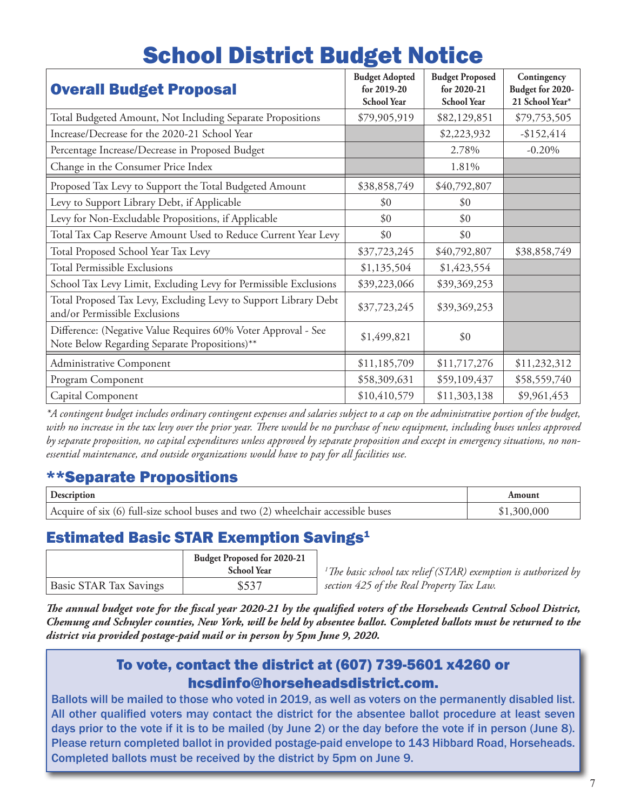## School District Budget Notice

| <b>Overall Budget Proposal</b>                                                                                 | <b>Budget Adopted</b><br>for 2019-20<br><b>School Year</b> | <b>Budget Proposed</b><br>for 2020-21<br>School Year | Contingency<br>Budget for 2020-<br>21 School Year* |
|----------------------------------------------------------------------------------------------------------------|------------------------------------------------------------|------------------------------------------------------|----------------------------------------------------|
| Total Budgeted Amount, Not Including Separate Propositions                                                     | \$79,905,919                                               | \$82,129,851                                         | \$79,753,505                                       |
| Increase/Decrease for the 2020-21 School Year                                                                  |                                                            | \$2,223,932                                          | $-$ \$152,414                                      |
| Percentage Increase/Decrease in Proposed Budget                                                                |                                                            | 2.78%                                                | $-0.20%$                                           |
| Change in the Consumer Price Index                                                                             |                                                            | 1.81%                                                |                                                    |
| Proposed Tax Levy to Support the Total Budgeted Amount                                                         | \$38,858,749                                               | \$40,792,807                                         |                                                    |
| Levy to Support Library Debt, if Applicable                                                                    | \$0                                                        | \$0                                                  |                                                    |
| Levy for Non-Excludable Propositions, if Applicable                                                            | \$0                                                        | \$0                                                  |                                                    |
| Total Tax Cap Reserve Amount Used to Reduce Current Year Levy                                                  | \$0                                                        | \$0                                                  |                                                    |
| Total Proposed School Year Tax Levy                                                                            | \$37,723,245                                               | \$40,792,807                                         | \$38,858,749                                       |
| <b>Total Permissible Exclusions</b>                                                                            | \$1,135,504                                                | \$1,423,554                                          |                                                    |
| School Tax Levy Limit, Excluding Levy for Permissible Exclusions                                               | \$39,223,066                                               | \$39,369,253                                         |                                                    |
| Total Proposed Tax Levy, Excluding Levy to Support Library Debt<br>and/or Permissible Exclusions               | \$37,723,245                                               | \$39,369,253                                         |                                                    |
| Difference: (Negative Value Requires 60% Voter Approval - See<br>Note Below Regarding Separate Propositions)** | \$1,499,821                                                | \$0                                                  |                                                    |
| <b>Administrative Component</b>                                                                                | \$11,185,709                                               | \$11,717,276                                         | \$11,232,312                                       |
| Program Component                                                                                              | \$58,309,631                                               | \$59,109,437                                         | \$58,559,740                                       |
| Capital Component                                                                                              | \$10,410,579                                               | \$11,303,138                                         | \$9,961,453                                        |

*\*A contingent budget includes ordinary contingent expenses and salaries subject to a cap on the administrative portion of the budget, with no increase in the tax levy over the prior year. There would be no purchase of new equipment, including buses unless approved by separate proposition, no capital expenditures unless approved by separate proposition and except in emergency situations, no nonessential maintenance, and outside organizations would have to pay for all facilities use.*

#### \*\*Separate Propositions

| Description                                                                       | Amount      |
|-----------------------------------------------------------------------------------|-------------|
| Acquire of six (6) full-size school buses and two (2) wheelchair accessible buses | \$1,300,000 |

#### **Estimated Basic STAR Exemption Savings<sup>1</sup>**

|                               | <b>Budget Proposed for 2020-21</b><br><b>School Year</b> |
|-------------------------------|----------------------------------------------------------|
| <b>Basic STAR Tax Savings</b> | \$537                                                    |

*1 The basic school tax relief (STAR) exemption is authorized by section 425 of the Real Property Tax Law.*

*The annual budget vote for the fiscal year 2020-21 by the qualified voters of the Horseheads Central School District, Chemung and Schuyler counties, New York, will be held by absentee ballot. Completed ballots must be returned to the district via provided postage-paid mail or in person by 5pm June 9, 2020.*

#### To vote, contact the district at (607) 739-5601 x4260 or hcsdinfo@horseheadsdistrict.com.

Ballots will be mailed to those who voted in 2019, as well as voters on the permanently disabled list. All other qualified voters may contact the district for the absentee ballot procedure at least seven days prior to the vote if it is to be mailed (by June 2) or the day before the vote if in person (June 8). Please return completed ballot in provided postage-paid envelope to 143 Hibbard Road, Horseheads. Completed ballots must be received by the district by 5pm on June 9.